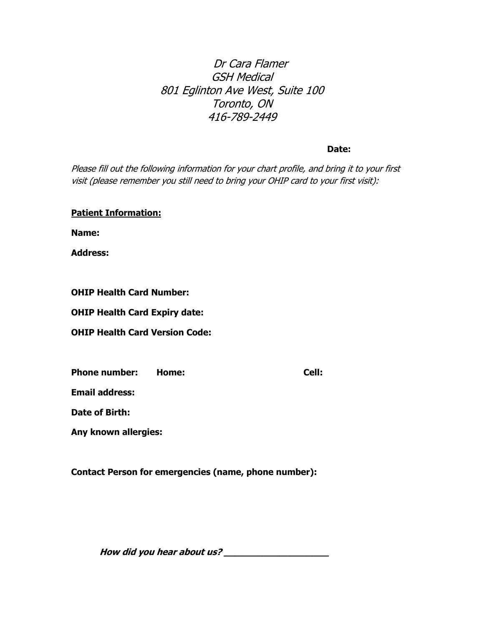# Dr Cara Flamer GSH Medical 801 Eglinton Ave West, Suite 100 Toronto, ON 416-789-2449

#### **Date:**

Please fill out the following information for your chart profile, and bring it to your first visit (please remember you still need to bring your OHIP card to your first visit):

**Name:**

**Address:**

**OHIP Health Card Number:**

**OHIP Health Card Expiry date:**

**OHIP Health Card Version Code:**

| <b>Phone number:</b> | Home: | Cell: |
|----------------------|-------|-------|
|----------------------|-------|-------|

**Email address:**

**Date of Birth:**

**Any known allergies:** 

**Contact Person for emergencies (name, phone number):** 

**How did you hear about us? \_\_\_\_\_\_\_\_\_\_\_\_\_\_\_\_\_\_\_**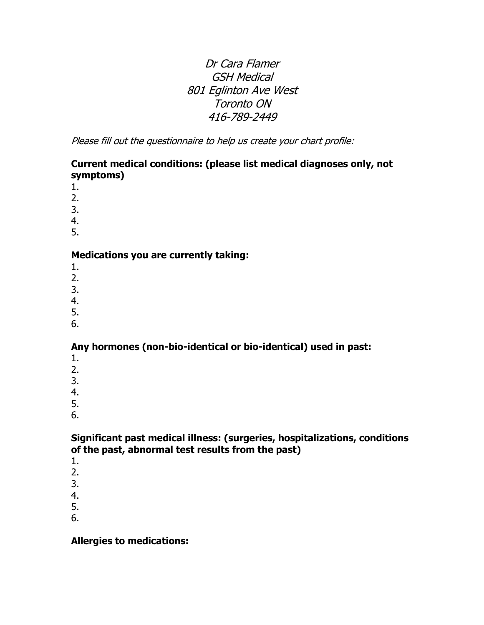# Dr Cara Flamer GSH Medical 801 Eglinton Ave West Toronto ON 416-789-2449

Please fill out the questionnaire to help us create your chart profile:

## **Current medical conditions: (please list medical diagnoses only, not symptoms)**

- 1.
- 2.
- 3.
- 4.
- 5.

### **Medications you are currently taking:**

- 1.
- 2.
- 3.
- 4.
- 5.
- 6.

## **Any hormones (non-bio-identical or bio-identical) used in past:**

- 1.
- 2.
- 3.
- 4.
- 5.
- 6.

#### **Significant past medical illness: (surgeries, hospitalizations, conditions of the past, abnormal test results from the past)**

- 1.
- 2.
- 3.
- 4.
- 5.
- 6.

## **Allergies to medications:**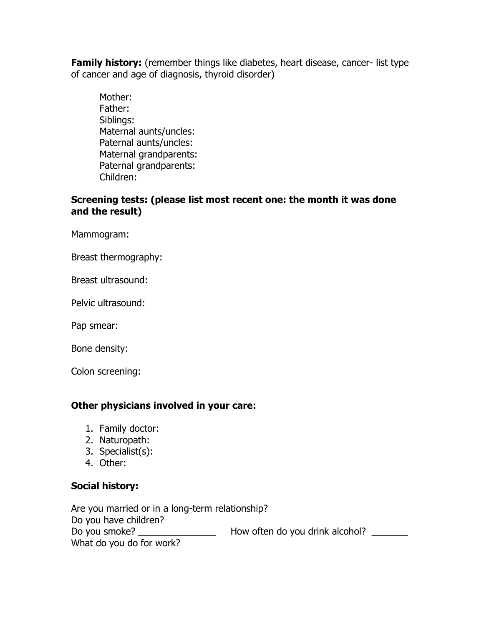**Family history:** (remember things like diabetes, heart disease, cancer- list type of cancer and age of diagnosis, thyroid disorder)

Mother: Father: Siblings: Maternal aunts/uncles: Paternal aunts/uncles: Maternal grandparents: Paternal grandparents: Children:

#### **Screening tests: (please list most recent one: the month it was done and the result)**

Mammogram:

Breast thermography:

Breast ultrasound:

Pelvic ultrasound:

Pap smear:

Bone density:

Colon screening:

## **Other physicians involved in your care:**

- 1. Family doctor:
- 2. Naturopath:
- 3. Specialist(s):
- 4. Other:

#### **Social history:**

Are you married or in a long-term relationship? Do you have children? Do you smoke? \_\_\_\_\_\_\_\_\_\_\_\_\_\_\_\_\_\_\_\_\_\_ How often do you drink alcohol? \_\_\_\_\_\_\_\_ What do you do for work?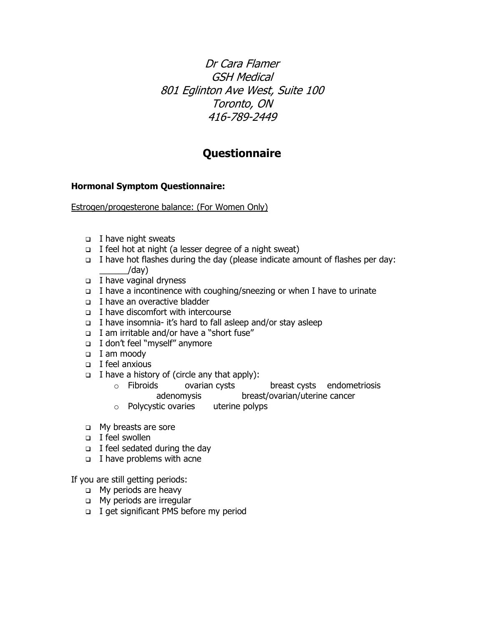Dr Cara Flamer GSH Medical 801 Eglinton Ave West, Suite 100 Toronto, ON 416-789-2449

# **Questionnaire**

#### **Hormonal Symptom Questionnaire:**

Estrogen/progesterone balance: (For Women Only)

- I have night sweats
- I feel hot at night (a lesser degree of a night sweat)
- I have hot flashes during the day (please indicate amount of flashes per day:  $/day)$
- $\Box$  I have vaginal dryness
- $\Box$  I have a incontinence with coughing/sneezing or when I have to urinate
- I have an overactive bladder
- $\Box$  I have discomfort with intercourse
- I have insomnia- it's hard to fall asleep and/or stay asleep
- I am irritable and/or have a "short fuse"
- I don't feel "myself" anymore
- I am moody
- $\Box$  I feel anxious
- $\Box$  I have a history of (circle any that apply):
	- o Fibroids ovarian cysts breast cysts endometriosis adenomysis breast/ovarian/uterine cancer
	- o Polycystic ovaries uterine polyps
- **D** My breasts are sore
- I feel swollen
- $\Box$  I feel sedated during the day
- $\Box$  I have problems with acne

If you are still getting periods:

- **D** My periods are heavy
- **D** My periods are irregular
- □ I get significant PMS before my period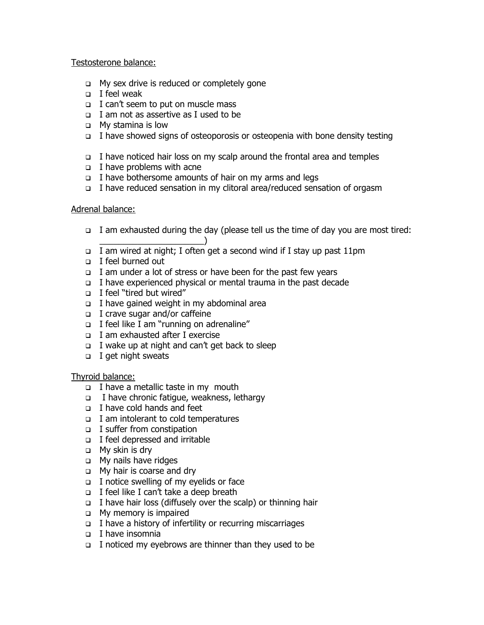#### Testosterone balance:

- $\Box$  My sex drive is reduced or completely gone
- $\Box$  I feel weak
- I can't seem to put on muscle mass
- $\Box$  I am not as assertive as I used to be
- My stamina is low
- I have showed signs of osteoporosis or osteopenia with bone density testing
- $\Box$  I have noticed hair loss on my scalp around the frontal area and temples
- $\Box$  I have problems with acne
- I have bothersome amounts of hair on my arms and legs
- I have reduced sensation in my clitoral area/reduced sensation of orgasm

#### Adrenal balance:

- I am exhausted during the day (please tell us the time of day you are most tired:
- $\qquad \qquad \qquad \Box$ I am wired at night; I often get a second wind if I stay up past 11pm
- I feel burned out
- $\Box$  I am under a lot of stress or have been for the past few years
- I have experienced physical or mental trauma in the past decade
- I feel "tired but wired"
- $\Box$  I have gained weight in my abdominal area
- I crave sugar and/or caffeine
- $\Box$  I feel like I am "running on adrenaline"
- I am exhausted after I exercise
- $\Box$  I wake up at night and can't get back to sleep
- $\Box$  I get night sweats

Thyroid balance:

- I have a metallic taste in my mouth
- $\Box$  I have chronic fatigue, weakness, lethargy
- I have cold hands and feet
- $\Box$  I am intolerant to cold temperatures
- □ I suffer from constipation
- □ I feel depressed and irritable
- My skin is dry
- My nails have ridges
- **D** My hair is coarse and dry
- $\Box$  I notice swelling of my eyelids or face
- I feel like I can't take a deep breath
- $\Box$  I have hair loss (diffusely over the scalp) or thinning hair
- My memory is impaired
- $\Box$  I have a history of infertility or recurring miscarriages
- I have insomnia
- I noticed my eyebrows are thinner than they used to be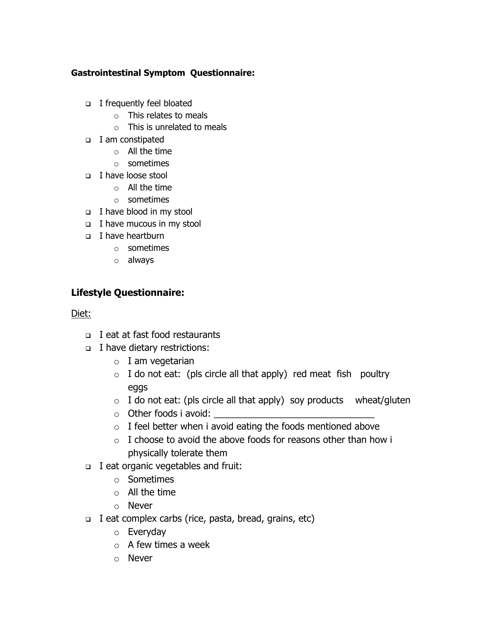### **Gastrointestinal Symptom Questionnaire:**

- I frequently feel bloated
	- o This relates to meals
	- o This is unrelated to meals
- I am constipated
	- o All the time
	- o sometimes
- I have loose stool
	- $\circ$  All the time
	- o sometimes
- $\Box$  I have blood in my stool
- $\Box$  I have mucous in my stool
- I have heartburn
	- o sometimes
	- o always

# **Lifestyle Questionnaire:**

## Diet:

- □ I eat at fast food restaurants
- I have dietary restrictions:
	- $\circ$  I am vegetarian
	- $\circ$  I do not eat: (pls circle all that apply) red meat fish poultry eggs
	- $\circ$  I do not eat: (pls circle all that apply) soy products wheat/gluten
	- $\circ$  Other foods i avoid:
	- $\circ$  I feel better when i avoid eating the foods mentioned above
	- $\circ$  I choose to avoid the above foods for reasons other than how i physically tolerate them
- I eat organic vegetables and fruit:
	- o Sometimes
	- $\circ$  All the time
	- o Never
- $\Box$  I eat complex carbs (rice, pasta, bread, grains, etc)
	- o Everyday
	- $\circ$  A few times a week
	- o Never